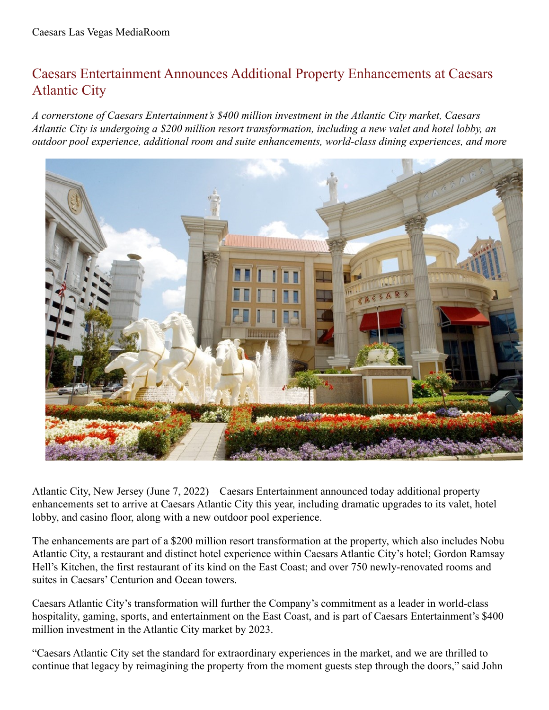## Caesars Entertainment Announces Additional Property Enhancements at Caesars Atlantic City

*A cornerstone of Caesars Entertainment's \$400 million investment in the Atlantic City market, Caesars* Atlantic City is undergoing a \$200 million resort transformation, including a new valet and hotel lobby, an *outdoor pool experience, additional room and suite enhancements, world-class dining experiences, and more*



Atlantic City, New Jersey (June 7, 2022) – Caesars Entertainment announced today additional property enhancements set to arrive at Caesars Atlantic City this year, including dramatic upgrades to its valet, hotel lobby, and casino floor, along with a new outdoor pool experience.

The enhancements are part of a \$200 million resort transformation at the property, which also includes Nobu Atlantic City, a restaurant and distinct hotel experience within Caesars Atlantic City's hotel; Gordon Ramsay Hell's Kitchen, the first restaurant of its kind on the East Coast; and over 750 newly-renovated rooms and suites in Caesars' Centurion and Ocean towers.

Caesars Atlantic City's transformation will further the Company's commitment as a leader in world-class hospitality, gaming, sports, and entertainment on the East Coast, and is part of Caesars Entertainment's \$400 million investment in the Atlantic City market by 2023.

"Caesars Atlantic City set the standard for extraordinary experiences in the market, and we are thrilled to continue that legacy by reimagining the property from the moment guests step through the doors," said John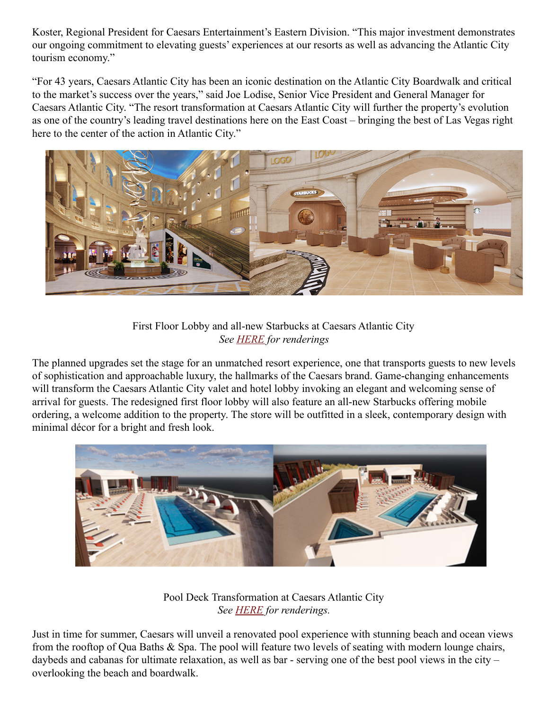Koster, Regional President for Caesars Entertainment's Eastern Division. "This major investment demonstrates our ongoing commitment to elevating guests' experiences at our resorts as well as advancing the Atlantic City tourism economy."

"For 43 years, Caesars Atlantic City has been an iconic destination on the Atlantic City Boardwalk and critical to the market's success over the years," said Joe Lodise, Senior Vice President and General Manager for Caesars Atlantic City. "The resort transformation at Caesars Atlantic City will further the property's evolution as one of the country's leading travel destinations here on the East Coast – bringing the best of Las Vegas right here to the center of the action in Atlantic City."



## First Floor Lobby and all-new Starbucks at Caesars Atlantic City *See [HERE](https://urldefense.com/v3/__https:/drive.google.com/drive/folders/1OceAvD9U-wsFnGyZvnORhcE4ovdBg73P?usp=sharing__;!!A2VBZwsE!3D1V7dyGewTIyLLlnoJm1Kjcr-0TnkEKqn6vBu0ism-khWCKGcLbR8qDg5MKy9J67w1iXPdQt-4_z99HNznF0g_zMs01Mg$) for renderings*

The planned upgrades set the stage for an unmatched resort experience, one that transports guests to new levels of sophistication and approachable luxury, the hallmarks of the Caesars brand. Game-changing enhancements will transform the Caesars Atlantic City valet and hotel lobby invoking an elegant and welcoming sense of arrival for guests. The redesigned first floor lobby will also feature an all-new Starbucks offering mobile ordering, a welcome addition to the property. The store will be outfitted in a sleek, contemporary design with minimal décor for a bright and fresh look.



Pool Deck Transformation at Caesars Atlantic City *See [HERE](https://www.dropbox.com/sh/cbxa9xqm9tmby4r/AAAGBVk_n3OCpyji9MF9nl38a?dl=0) for renderings.*

Just in time for summer, Caesars will unveil a renovated pool experience with stunning beach and ocean views from the rooftop of Qua Baths & Spa. The pool will feature two levels of seating with modern lounge chairs, daybeds and cabanas for ultimate relaxation, as well as bar - serving one of the best pool views in the city – overlooking the beach and boardwalk.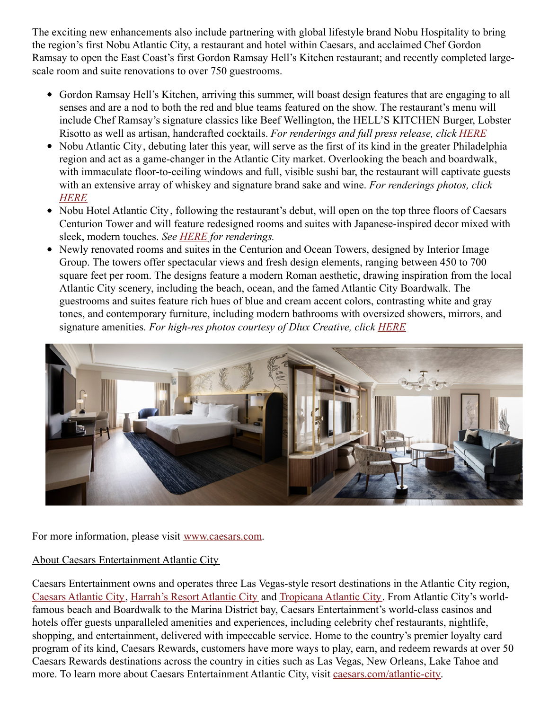The exciting new enhancements also include partnering with global lifestyle brand Nobu Hospitality to bring the region's first Nobu Atlantic City, a restaurant and hotel within Caesars, and acclaimed Chef Gordon Ramsay to open the East Coast's first Gordon Ramsay Hell's Kitchen restaurant; and recently completed largescale room and suite renovations to over 750 guestrooms.

- Gordon Ramsay Hell's Kitchen, arriving this summer, will boast design features that are engaging to all senses and are a nod to both the red and blue teams featured on the show. The restaurant's menu will include Chef Ramsay's signature classics like Beef Wellington, the HELL'S KITCHEN Burger, Lobster Risotto as well as artisan, handcrafted cocktails. *For renderings and full press release, click [HERE](https://urldefense.com/v3/__http:/caesars.mediaroom.com/2022-03-22-Gordon-Ramsay-Hells-Kitchen-to-Make-a-Fiery-Debut-at-Caesars-Atlantic-City-This-Summer__;!!A2VBZwsE!hJSEmqjWhOoEQOGROKoFNHnNwL7d9QM1lLMnlJil1E5WpskAdzQYKcA_iBtTPgoI$)*
- Nobu Atlantic City, debuting later this year, will serve as the first of its kind in the greater Philadelphia region and act as a game-changer in the Atlantic City market. Overlooking the beach and boardwalk, with immaculate floor-to-ceiling windows and full, visible sushi bar, the restaurant will captivate guests with an extensive array of whiskey and signature brand sake and wine. *For renderings photos, click [HERE](https://drive.google.com/drive/folders/1_6wjRCKgy2leFlGhnN0L26FQ8lDuciQ0?usp=sharing)*
- Nobu Hotel Atlantic City, following the restaurant's debut, will open on the top three floors of Caesars Centurion Tower and will feature redesigned rooms and suites with Japanese-inspired decor mixed with sleek, modern touches. *See [HERE](https://drive.google.com/drive/folders/1unXgdXIP-I2pP9ZS5JHbBCY_bGCQDK0d?usp=sharing) for renderings.*
- Newly renovated rooms and suites in the Centurion and Ocean Towers, designed by Interior Image Group. The towers offer spectacular views and fresh design elements, ranging between 450 to 700 square feet per room. The designs feature a modern Roman aesthetic, drawing inspiration from the local Atlantic City scenery, including the beach, ocean, and the famed Atlantic City Boardwalk. The guestrooms and suites feature rich hues of blue and cream accent colors, contrasting white and gray tones, and contemporary furniture, including modern bathrooms with oversized showers, mirrors, and signature amenities. *For high-res photos courtesy of Dlux Creative, click [HERE](https://www.dropbox.com/sh/linlfzcl846gaol/AAB62J6aXejcdGlpK9iHHt0_a?dl=0)*



For more information, please visit [www.caesars.com](https://www.caesars.com/destinations#AtlanticCity).

## About Caesars Entertainment Atlantic City

Caesars Entertainment owns and operates three Las Vegas-style resort destinations in the Atlantic City region, Caesars [Atlantic](http://caesars.com/caesars-ac) City, [Harrah's](http://caesars.com/harrahs-ac) Resort Atlantic City and [Tropicana](https://urldefense.proofpoint.com/v2/url?u=http-3A__tropicana.net&d=DwMGaQ&c=P4PXXUBERirwlJNc_5PLAA&r=XWWXwH1alLCznhEPFwqvkm0su-ofx2pC-6jlw3E8YZw&m=H_TSwphG5v3mGRYViv6cnldu5w7CheirDLTyT0abrCk&s=kTACyN60xG4l6D4I_aC4l_8bNwZkP9lvOH9gcaCckwU&e=) Atlantic City. From Atlantic City's worldfamous beach and Boardwalk to the Marina District bay, Caesars Entertainment's world-class casinos and hotels offer guests unparalleled amenities and experiences, including celebrity chef restaurants, nightlife, shopping, and entertainment, delivered with impeccable service. Home to the country's premier loyalty card program of its kind, Caesars Rewards, customers have more ways to play, earn, and redeem rewards at over 50 Caesars Rewards destinations across the country in cities such as Las Vegas, New Orleans, Lake Tahoe and more. To learn more about Caesars Entertainment Atlantic City, visit [caesars.com/atlantic-city](https://www.caesars.com/atlantic-city).